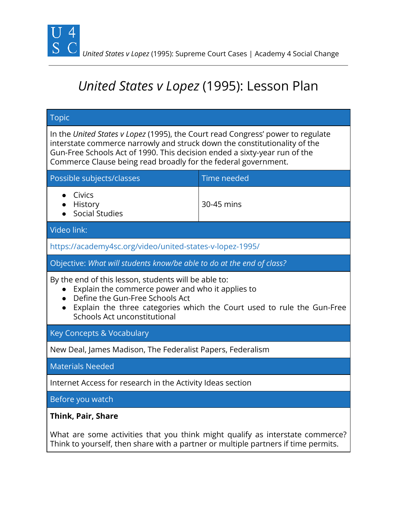

 *United States v Lopez* (1995): Supreme Court Cases | Academy 4 Social Change

# *United States v Lopez* (1995): Lesson Plan

| <b>Topic</b>                                                                                                                                                                                                                                                                                                |             |
|-------------------------------------------------------------------------------------------------------------------------------------------------------------------------------------------------------------------------------------------------------------------------------------------------------------|-------------|
| In the United States v Lopez (1995), the Court read Congress' power to regulate<br>interstate commerce narrowly and struck down the constitutionality of the<br>Gun-Free Schools Act of 1990. This decision ended a sixty-year run of the<br>Commerce Clause being read broadly for the federal government. |             |
| Possible subjects/classes                                                                                                                                                                                                                                                                                   | Time needed |
| Civics<br>History<br><b>Social Studies</b>                                                                                                                                                                                                                                                                  | 30-45 mins  |
| Video link:                                                                                                                                                                                                                                                                                                 |             |
| https://academy4sc.org/video/united-states-v-lopez-1995/                                                                                                                                                                                                                                                    |             |
| Objective: What will students know/be able to do at the end of class?                                                                                                                                                                                                                                       |             |
| By the end of this lesson, students will be able to:<br>Explain the commerce power and who it applies to<br>Define the Gun-Free Schools Act<br>$\bullet$<br>Explain the three categories which the Court used to rule the Gun-Free<br>$\bullet$<br>Schools Act unconstitutional                             |             |
| Key Concepts & Vocabulary                                                                                                                                                                                                                                                                                   |             |
| New Deal, James Madison, The Federalist Papers, Federalism                                                                                                                                                                                                                                                  |             |
| <b>Materials Needed</b>                                                                                                                                                                                                                                                                                     |             |
| Internet Access for research in the Activity Ideas section                                                                                                                                                                                                                                                  |             |
| Before you watch                                                                                                                                                                                                                                                                                            |             |
| Think, Pair, Share<br>What are some activities that you think might qualify as interstate commerce?<br>Think to yourself, then share with a partner or multiple partners if time permits.                                                                                                                   |             |